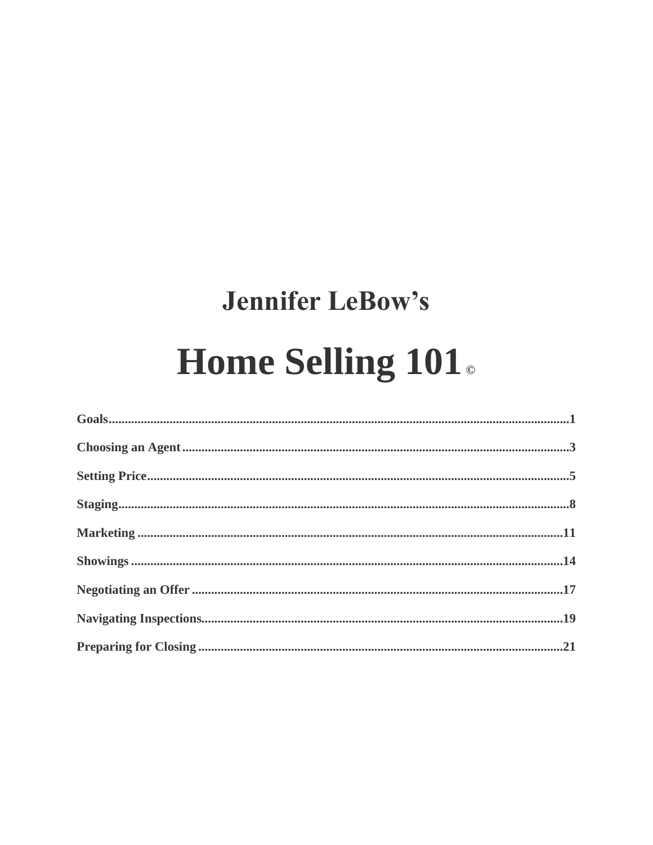# **Jennifer LeBow's** Home Selling 101.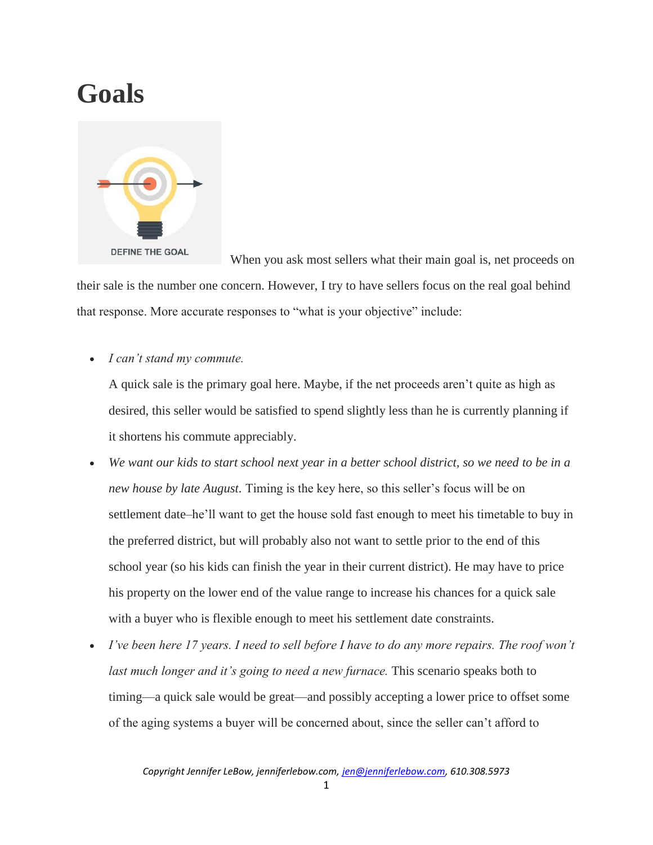### **Goals**



 When you ask most sellers what their main goal is, net proceeds on their sale is the number one concern. However, I try to have sellers focus on the real goal behind that response. More accurate responses to "what is your objective" include:

*I can't stand my commute.*

A quick sale is the primary goal here. Maybe, if the net proceeds aren't quite as high as desired, this seller would be satisfied to spend slightly less than he is currently planning if it shortens his commute appreciably.

- *We want our kids to start school next year in a better school district, so we need to be in a new house by late August.* Timing is the key here, so this seller's focus will be on settlement date–he'll want to get the house sold fast enough to meet his timetable to buy in the preferred district, but will probably also not want to settle prior to the end of this school year (so his kids can finish the year in their current district). He may have to price his property on the lower end of the value range to increase his chances for a quick sale with a buyer who is flexible enough to meet his settlement date constraints.
- *I've been here 17 years. I need to sell before I have to do any more repairs. The roof won't last much longer and it's going to need a new furnace.* This scenario speaks both to timing—a quick sale would be great—and possibly accepting a lower price to offset some of the aging systems a buyer will be concerned about, since the seller can't afford to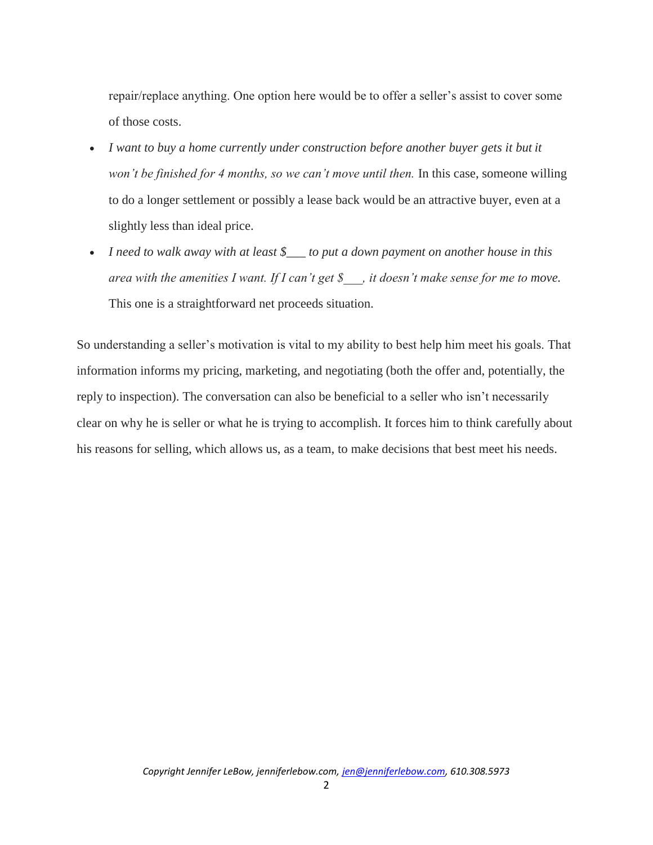repair/replace anything. One option here would be to offer a seller's assist to cover some of those costs.

- *I want to buy a home currently under construction before another buyer gets it but it won't be finished for 4 months, so we can't move until then.* In this case, someone willing to do a longer settlement or possibly a lease back would be an attractive buyer, even at a slightly less than ideal price.
- *I need to walk away with at least \$\_\_\_ to put a down payment on another house in this area with the amenities I want. If I can't get \$\_\_\_, it doesn't make sense for me to move.*  This one is a straightforward net proceeds situation.

So understanding a seller's motivation is vital to my ability to best help him meet his goals. That information informs my pricing, marketing, and negotiating (both the offer and, potentially, the reply to inspection). The conversation can also be beneficial to a seller who isn't necessarily clear on why he is seller or what he is trying to accomplish. It forces him to think carefully about his reasons for selling, which allows us, as a team, to make decisions that best meet his needs.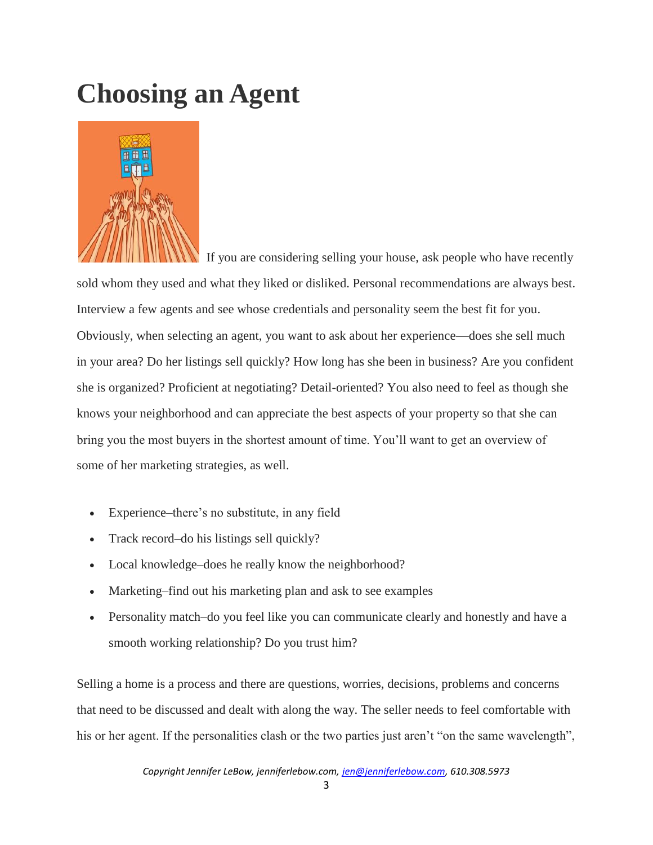## **Choosing an Agent**



 If you are considering selling your house, ask people who have recently sold whom they used and what they liked or disliked. Personal recommendations are always best. Interview a few agents and see whose credentials and personality seem the best fit for you. Obviously, when selecting an agent, you want to ask about her experience—does she sell much in your area? Do her listings sell quickly? How long has she been in business? Are you confident she is organized? Proficient at negotiating? Detail-oriented? You also need to feel as though she knows your neighborhood and can appreciate the best aspects of your property so that she can bring you the most buyers in the shortest amount of time. You'll want to get an overview of some of her marketing strategies, as well.

- Experience–there's no substitute, in any field
- Track record–do his listings sell quickly?
- Local knowledge–does he really know the neighborhood?
- Marketing–find out his marketing plan and ask to see examples
- Personality match–do you feel like you can communicate clearly and honestly and have a smooth working relationship? Do you trust him?

Selling a home is a process and there are questions, worries, decisions, problems and concerns that need to be discussed and dealt with along the way. The seller needs to feel comfortable with his or her agent. If the personalities clash or the two parties just aren't "on the same wavelength",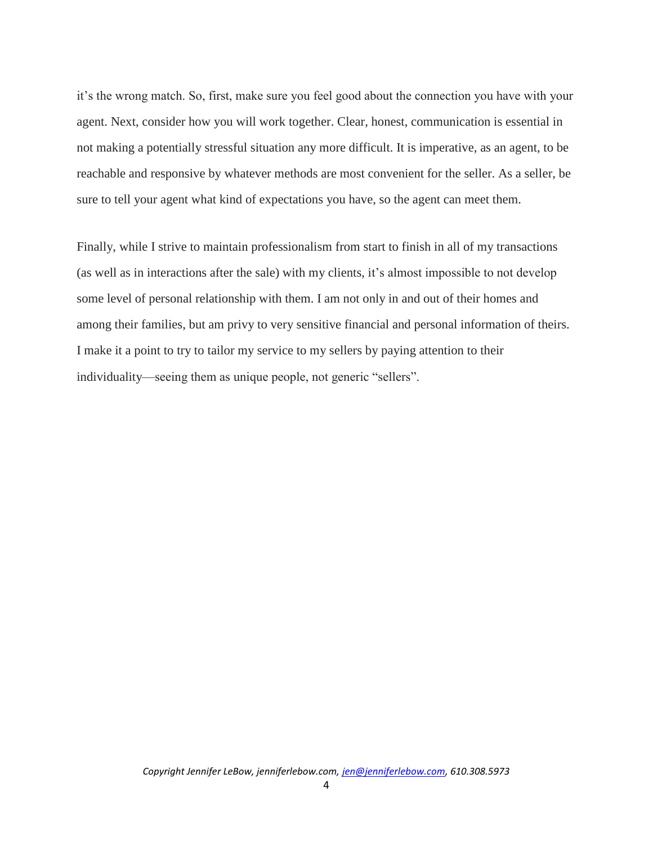it's the wrong match. So, first, make sure you feel good about the connection you have with your agent. Next, consider how you will work together. Clear, honest, communication is essential in not making a potentially stressful situation any more difficult. It is imperative, as an agent, to be reachable and responsive by whatever methods are most convenient for the seller. As a seller, be sure to tell your agent what kind of expectations you have, so the agent can meet them.

Finally, while I strive to maintain professionalism from start to finish in all of my transactions (as well as in interactions after the sale) with my clients, it's almost impossible to not develop some level of personal relationship with them. I am not only in and out of their homes and among their families, but am privy to very sensitive financial and personal information of theirs. I make it a point to try to tailor my service to my sellers by paying attention to their individuality—seeing them as unique people, not generic "sellers".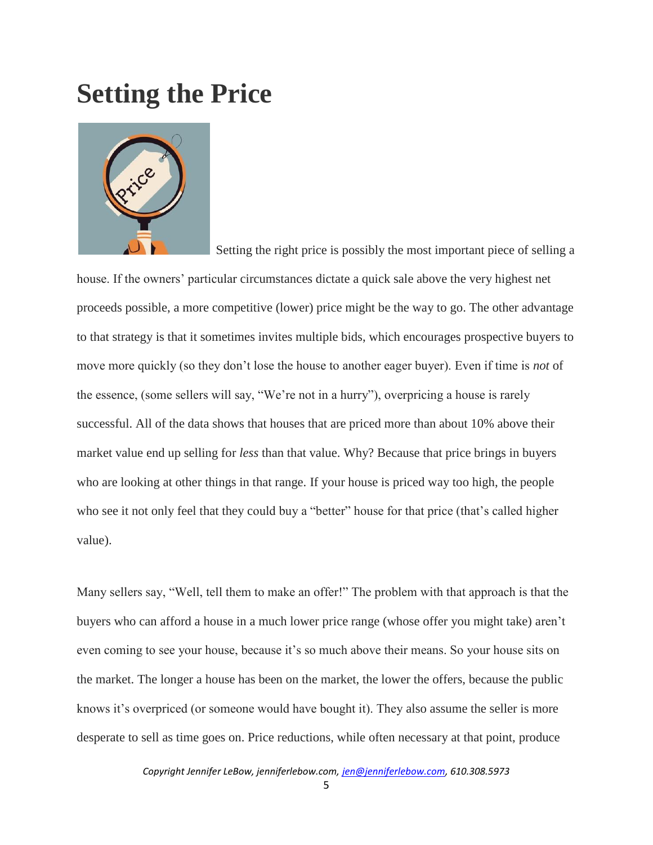#### **Setting the Price**



Setting the right price is possibly the most important piece of selling a

house. If the owners' particular circumstances dictate a quick sale above the very highest net proceeds possible, a more competitive (lower) price might be the way to go. The other advantage to that strategy is that it sometimes invites multiple bids, which encourages prospective buyers to move more quickly (so they don't lose the house to another eager buyer). Even if time is *not* of the essence, (some sellers will say, "We're not in a hurry"), overpricing a house is rarely successful. All of the data shows that houses that are priced more than about 10% above their market value end up selling for *less* than that value. Why? Because that price brings in buyers who are looking at other things in that range. If your house is priced way too high, the people who see it not only feel that they could buy a "better" house for that price (that's called higher value).

Many sellers say, "Well, tell them to make an offer!" The problem with that approach is that the buyers who can afford a house in a much lower price range (whose offer you might take) aren't even coming to see your house, because it's so much above their means. So your house sits on the market. The longer a house has been on the market, the lower the offers, because the public knows it's overpriced (or someone would have bought it). They also assume the seller is more desperate to sell as time goes on. Price reductions, while often necessary at that point, produce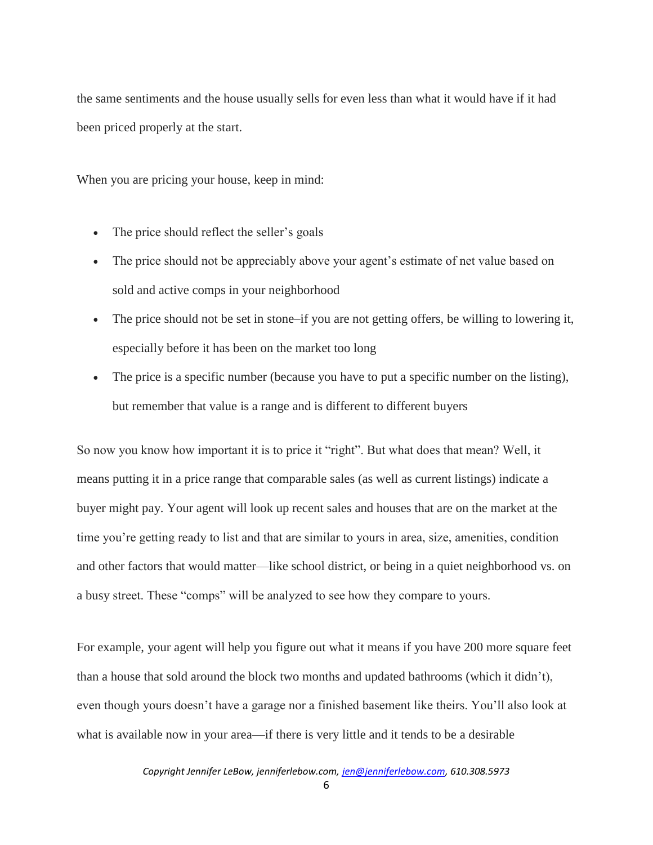the same sentiments and the house usually sells for even less than what it would have if it had been priced properly at the start.

When you are pricing your house, keep in mind:

- The price should reflect the seller's goals
- The price should not be appreciably above your agent's estimate of net value based on sold and active comps in your neighborhood
- The price should not be set in stone–if you are not getting offers, be willing to lowering it, especially before it has been on the market too long
- The price is a specific number (because you have to put a specific number on the listing), but remember that value is a range and is different to different buyers

So now you know how important it is to price it "right". But what does that mean? Well, it means putting it in a price range that comparable sales (as well as current listings) indicate a buyer might pay. Your agent will look up recent sales and houses that are on the market at the time you're getting ready to list and that are similar to yours in area, size, amenities, condition and other factors that would matter—like school district, or being in a quiet neighborhood vs. on a busy street. These "comps" will be analyzed to see how they compare to yours.

For example, your agent will help you figure out what it means if you have 200 more square feet than a house that sold around the block two months and updated bathrooms (which it didn't), even though yours doesn't have a garage nor a finished basement like theirs. You'll also look at what is available now in your area—if there is very little and it tends to be a desirable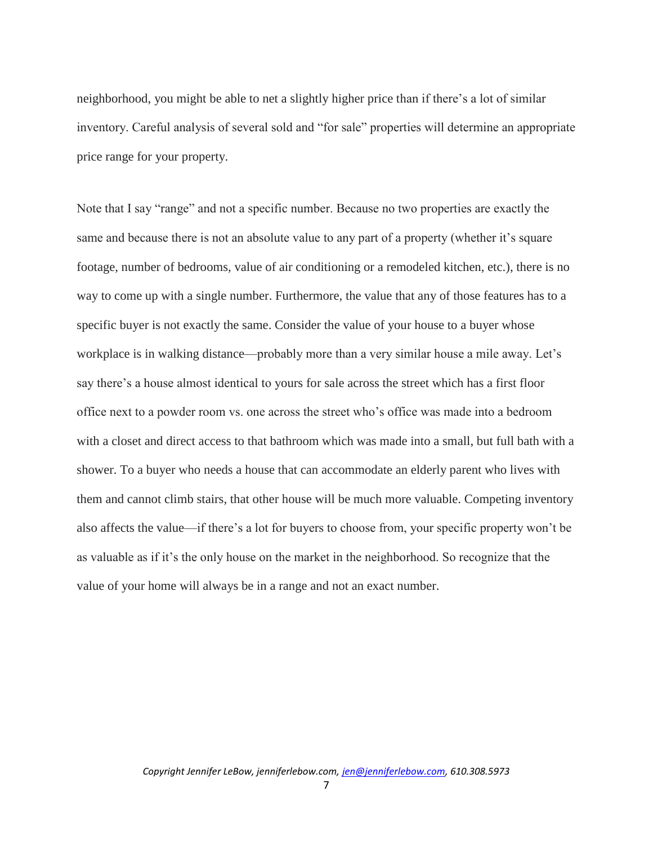neighborhood, you might be able to net a slightly higher price than if there's a lot of similar inventory. Careful analysis of several sold and "for sale" properties will determine an appropriate price range for your property.

Note that I say "range" and not a specific number. Because no two properties are exactly the same and because there is not an absolute value to any part of a property (whether it's square footage, number of bedrooms, value of air conditioning or a remodeled kitchen, etc.), there is no way to come up with a single number. Furthermore, the value that any of those features has to a specific buyer is not exactly the same. Consider the value of your house to a buyer whose workplace is in walking distance—probably more than a very similar house a mile away. Let's say there's a house almost identical to yours for sale across the street which has a first floor office next to a powder room vs. one across the street who's office was made into a bedroom with a closet and direct access to that bathroom which was made into a small, but full bath with a shower. To a buyer who needs a house that can accommodate an elderly parent who lives with them and cannot climb stairs, that other house will be much more valuable. Competing inventory also affects the value—if there's a lot for buyers to choose from, your specific property won't be as valuable as if it's the only house on the market in the neighborhood. So recognize that the value of your home will always be in a range and not an exact number.

7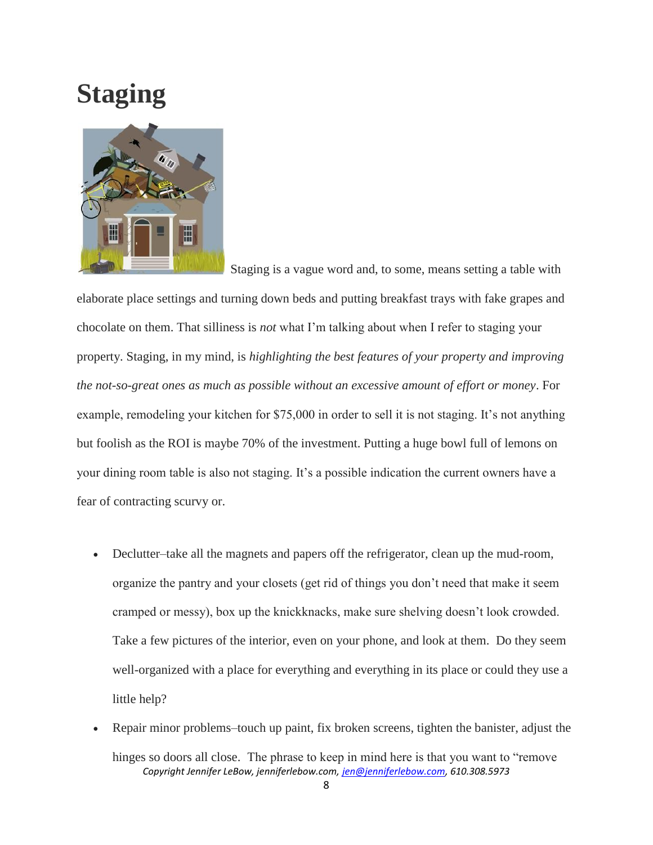## **Staging**



Staging is a vague word and, to some, means setting a table with

elaborate place settings and turning down beds and putting breakfast trays with fake grapes and chocolate on them. That silliness is *not* what I'm talking about when I refer to staging your property. Staging, in my mind, is *highlighting the best features of your property and improving the not-so-great ones as much as possible without an excessive amount of effort or money*. For example, remodeling your kitchen for \$75,000 in order to sell it is not staging. It's not anything but foolish as the ROI is maybe 70% of the investment. Putting a huge bowl full of lemons on your dining room table is also not staging. It's a possible indication the current owners have a fear of contracting scurvy or.

- Declutter–take all the magnets and papers off the refrigerator, clean up the mud-room, organize the pantry and your closets (get rid of things you don't need that make it seem cramped or messy), box up the knickknacks, make sure shelving doesn't look crowded. Take a few pictures of the interior, even on your phone, and look at them. Do they seem well-organized with a place for everything and everything in its place or could they use a little help?
- *Copyright Jennifer LeBow, jenniferlebow.com, jen@jenniferlebow.com, 610.308.5973* Repair minor problems–touch up paint, fix broken screens, tighten the banister, adjust the hinges so doors all close. The phrase to keep in mind here is that you want to "remove"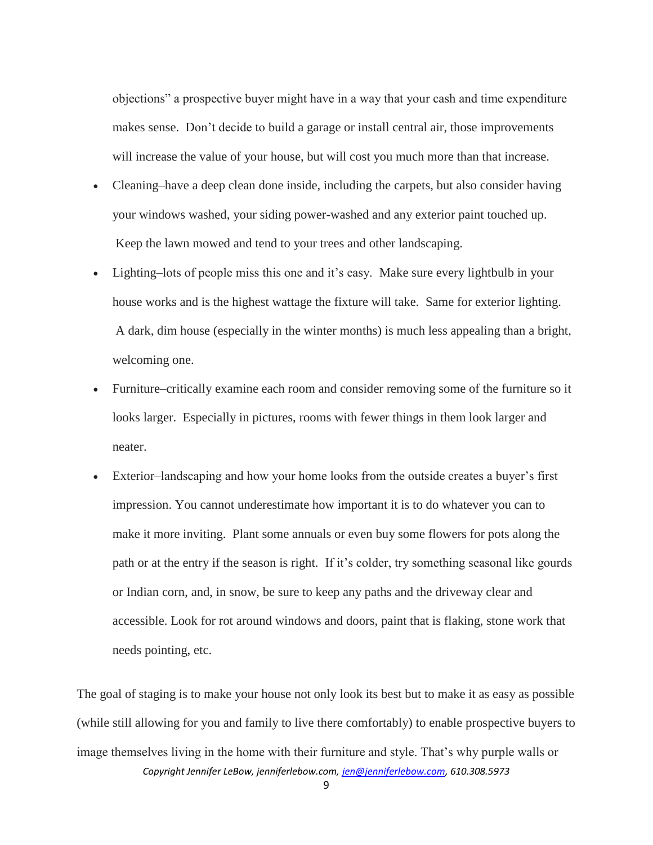objections" a prospective buyer might have in a way that your cash and time expenditure makes sense. Don't decide to build a garage or install central air, those improvements will increase the value of your house, but will cost you much more than that increase.

- Cleaning–have a deep clean done inside, including the carpets, but also consider having your windows washed, your siding power-washed and any exterior paint touched up. Keep the lawn mowed and tend to your trees and other landscaping.
- Lighting–lots of people miss this one and it's easy. Make sure every lightbulb in your house works and is the highest wattage the fixture will take. Same for exterior lighting. A dark, dim house (especially in the winter months) is much less appealing than a bright, welcoming one.
- Furniture–critically examine each room and consider removing some of the furniture so it looks larger. Especially in pictures, rooms with fewer things in them look larger and neater.
- Exterior–landscaping and how your home looks from the outside creates a buyer's first impression. You cannot underestimate how important it is to do whatever you can to make it more inviting. Plant some annuals or even buy some flowers for pots along the path or at the entry if the season is right. If it's colder, try something seasonal like gourds or Indian corn, and, in snow, be sure to keep any paths and the driveway clear and accessible. Look for rot around windows and doors, paint that is flaking, stone work that needs pointing, etc.

*Copyright Jennifer LeBow, jenniferlebow.com, jen@jenniferlebow.com, 610.308.5973* The goal of staging is to make your house not only look its best but to make it as easy as possible (while still allowing for you and family to live there comfortably) to enable prospective buyers to image themselves living in the home with their furniture and style. That's why purple walls or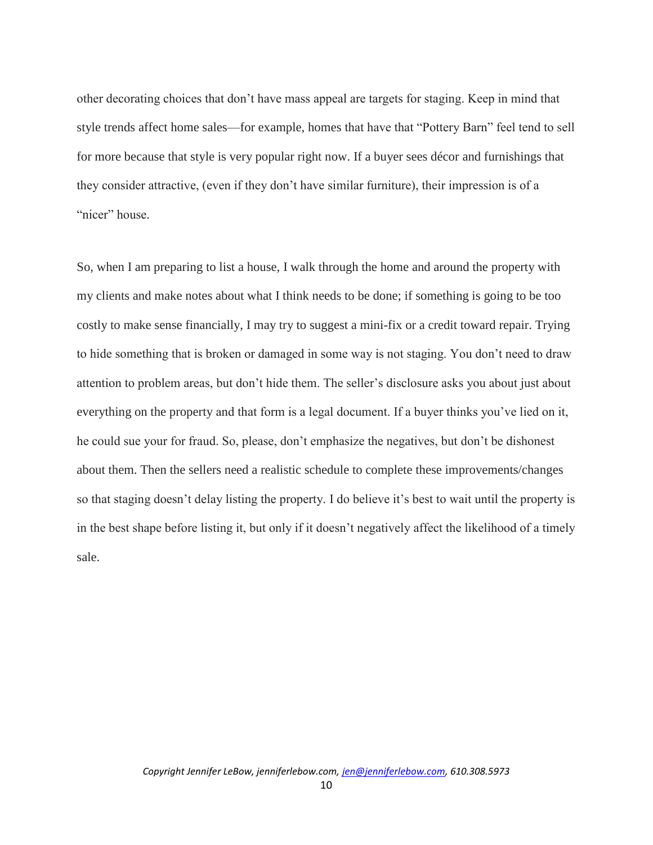other decorating choices that don't have mass appeal are targets for staging. Keep in mind that style trends affect home sales—for example, homes that have that "Pottery Barn" feel tend to sell for more because that style is very popular right now. If a buyer sees décor and furnishings that they consider attractive, (even if they don't have similar furniture), their impression is of a "nicer" house.

So, when I am preparing to list a house, I walk through the home and around the property with my clients and make notes about what I think needs to be done; if something is going to be too costly to make sense financially, I may try to suggest a mini-fix or a credit toward repair. Trying to hide something that is broken or damaged in some way is not staging. You don't need to draw attention to problem areas, but don't hide them. The seller's disclosure asks you about just about everything on the property and that form is a legal document. If a buyer thinks you've lied on it, he could sue your for fraud. So, please, don't emphasize the negatives, but don't be dishonest about them. Then the sellers need a realistic schedule to complete these improvements/changes so that staging doesn't delay listing the property. I do believe it's best to wait until the property is in the best shape before listing it, but only if it doesn't negatively affect the likelihood of a timely sale.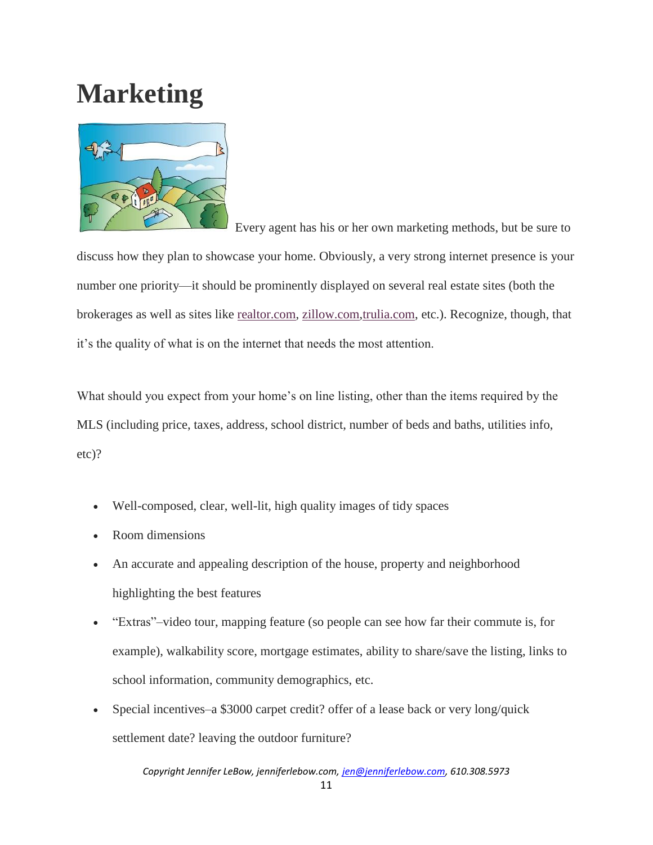## **Marketing**



 Every agent has his or her own marketing methods, but be sure to discuss how they plan to showcase your home. Obviously, a very strong internet presence is your number one priority—it should be prominently displayed on several real estate sites (both the brokerages as well as sites like [realtor.com,](http://realtor.com/) [zillow.com,](http://zillow.com/)[trulia.com,](http://trulia.com/) etc.). Recognize, though, that it's the quality of what is on the internet that needs the most attention.

What should you expect from your home's on line listing, other than the items required by the MLS (including price, taxes, address, school district, number of beds and baths, utilities info, etc)?

- Well-composed, clear, well-lit, high quality images of tidy spaces
- Room dimensions
- An accurate and appealing description of the house, property and neighborhood highlighting the best features
- "Extras"–video tour, mapping feature (so people can see how far their commute is, for example), walkability score, mortgage estimates, ability to share/save the listing, links to school information, community demographics, etc.
- Special incentives–a \$3000 carpet credit? offer of a lease back or very long/quick settlement date? leaving the outdoor furniture?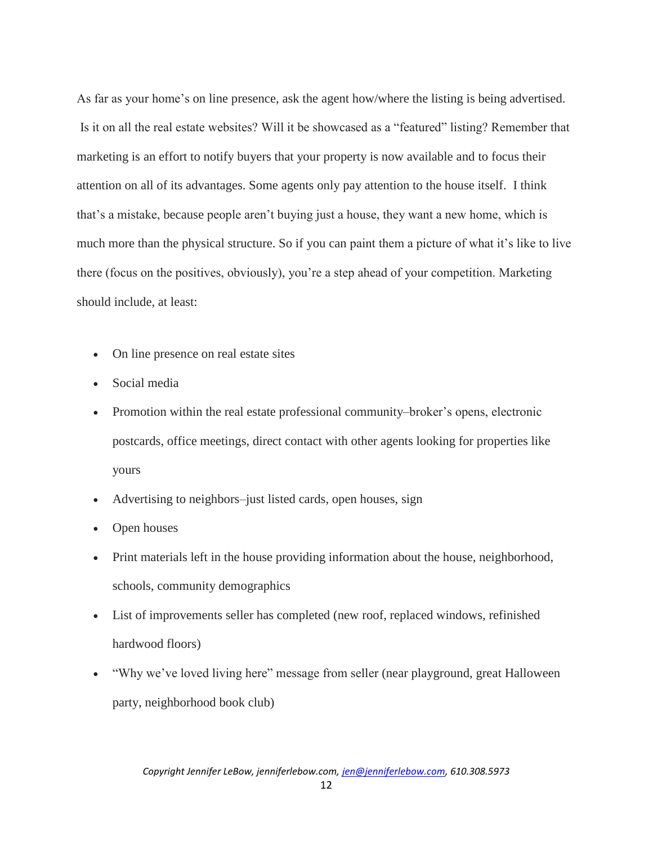As far as your home's on line presence, ask the agent how/where the listing is being advertised. Is it on all the real estate websites? Will it be showcased as a "featured" listing? Remember that marketing is an effort to notify buyers that your property is now available and to focus their attention on all of its advantages. Some agents only pay attention to the house itself. I think that's a mistake, because people aren't buying just a house, they want a new home, which is much more than the physical structure. So if you can paint them a picture of what it's like to live there (focus on the positives, obviously), you're a step ahead of your competition. Marketing should include, at least:

- On line presence on real estate sites
- Social media
- Promotion within the real estate professional community–broker's opens, electronic postcards, office meetings, direct contact with other agents looking for properties like yours
- Advertising to neighbors–just listed cards, open houses, sign
- Open houses
- Print materials left in the house providing information about the house, neighborhood, schools, community demographics
- List of improvements seller has completed (new roof, replaced windows, refinished hardwood floors)
- "Why we've loved living here" message from seller (near playground, great Halloween party, neighborhood book club)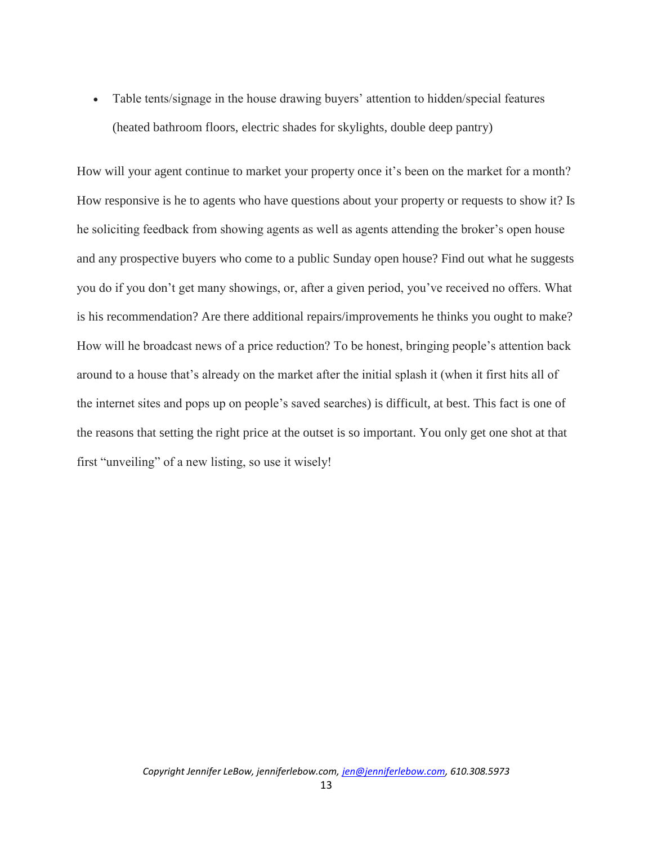• Table tents/signage in the house drawing buyers' attention to hidden/special features (heated bathroom floors, electric shades for skylights, double deep pantry)

How will your agent continue to market your property once it's been on the market for a month? How responsive is he to agents who have questions about your property or requests to show it? Is he soliciting feedback from showing agents as well as agents attending the broker's open house and any prospective buyers who come to a public Sunday open house? Find out what he suggests you do if you don't get many showings, or, after a given period, you've received no offers. What is his recommendation? Are there additional repairs/improvements he thinks you ought to make? How will he broadcast news of a price reduction? To be honest, bringing people's attention back around to a house that's already on the market after the initial splash it (when it first hits all of the internet sites and pops up on people's saved searches) is difficult, at best. This fact is one of the reasons that setting the right price at the outset is so important. You only get one shot at that first "unveiling" of a new listing, so use it wisely!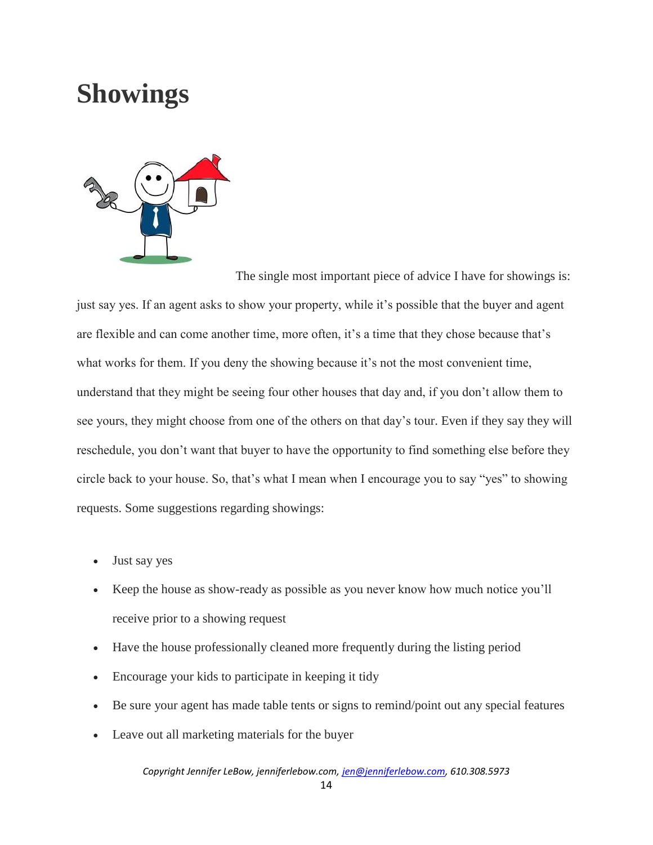#### **Showings**



The single most important piece of advice I have for showings is: just say yes. If an agent asks to show your property, while it's possible that the buyer and agent are flexible and can come another time, more often, it's a time that they chose because that's what works for them. If you deny the showing because it's not the most convenient time, understand that they might be seeing four other houses that day and, if you don't allow them to see yours, they might choose from one of the others on that day's tour. Even if they say they will reschedule, you don't want that buyer to have the opportunity to find something else before they circle back to your house. So, that's what I mean when I encourage you to say "yes" to showing requests. Some suggestions regarding showings:

- Just say yes
- Keep the house as show-ready as possible as you never know how much notice you'll receive prior to a showing request
- Have the house professionally cleaned more frequently during the listing period
- Encourage your kids to participate in keeping it tidy
- Be sure your agent has made table tents or signs to remind/point out any special features
- Leave out all marketing materials for the buyer

*Copyright Jennifer LeBow, jenniferlebow.com, jen@jenniferlebow.com, 610.308.5973*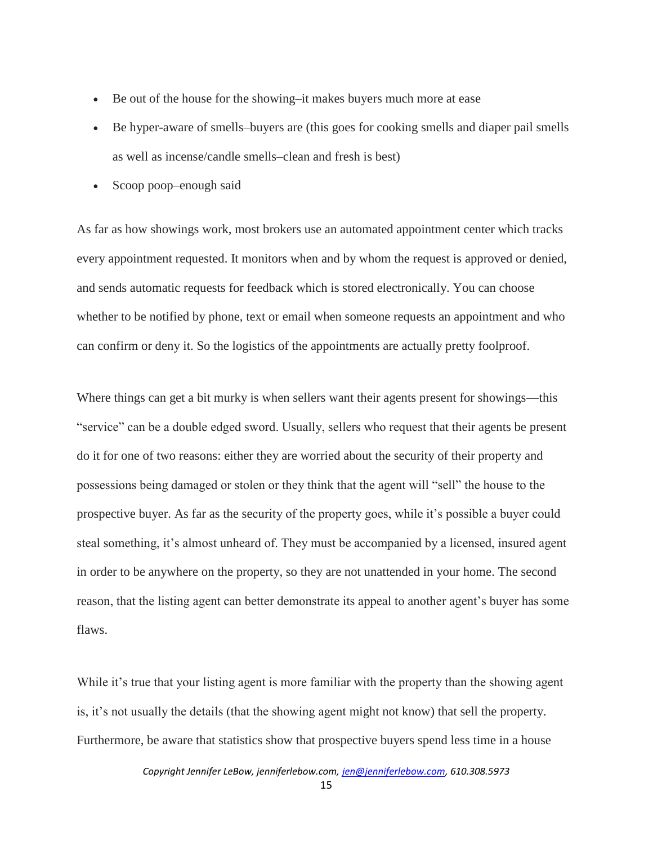- Be out of the house for the showing–it makes buyers much more at ease
- Be hyper-aware of smells–buyers are (this goes for cooking smells and diaper pail smells as well as incense/candle smells–clean and fresh is best)
- Scoop poop–enough said

As far as how showings work, most brokers use an automated appointment center which tracks every appointment requested. It monitors when and by whom the request is approved or denied, and sends automatic requests for feedback which is stored electronically. You can choose whether to be notified by phone, text or email when someone requests an appointment and who can confirm or deny it. So the logistics of the appointments are actually pretty foolproof.

Where things can get a bit murky is when sellers want their agents present for showings—this "service" can be a double edged sword. Usually, sellers who request that their agents be present do it for one of two reasons: either they are worried about the security of their property and possessions being damaged or stolen or they think that the agent will "sell" the house to the prospective buyer. As far as the security of the property goes, while it's possible a buyer could steal something, it's almost unheard of. They must be accompanied by a licensed, insured agent in order to be anywhere on the property, so they are not unattended in your home. The second reason, that the listing agent can better demonstrate its appeal to another agent's buyer has some flaws.

While it's true that your listing agent is more familiar with the property than the showing agent is, it's not usually the details (that the showing agent might not know) that sell the property. Furthermore, be aware that statistics show that prospective buyers spend less time in a house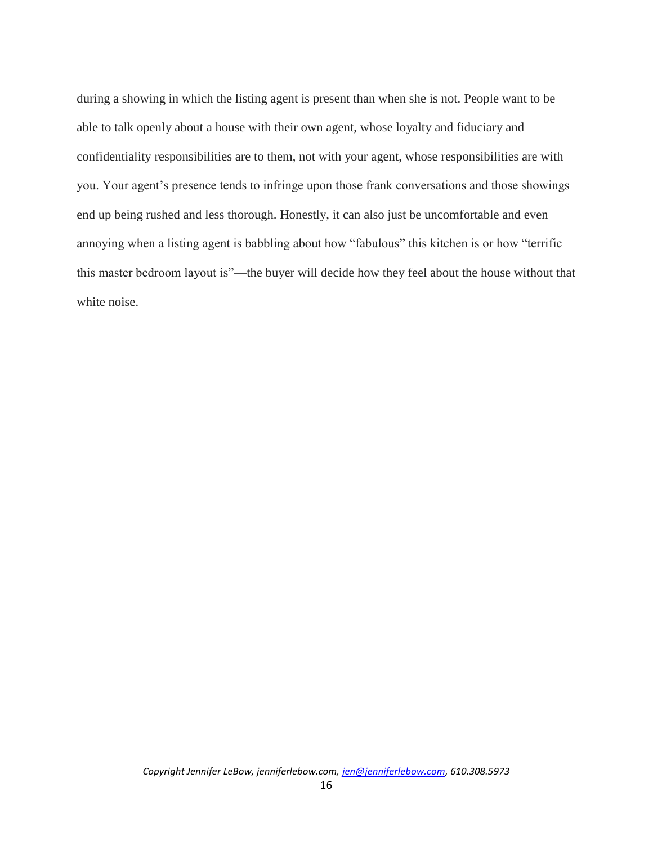during a showing in which the listing agent is present than when she is not. People want to be able to talk openly about a house with their own agent, whose loyalty and fiduciary and confidentiality responsibilities are to them, not with your agent, whose responsibilities are with you. Your agent's presence tends to infringe upon those frank conversations and those showings end up being rushed and less thorough. Honestly, it can also just be uncomfortable and even annoying when a listing agent is babbling about how "fabulous" this kitchen is or how "terrific this master bedroom layout is"—the buyer will decide how they feel about the house without that white noise.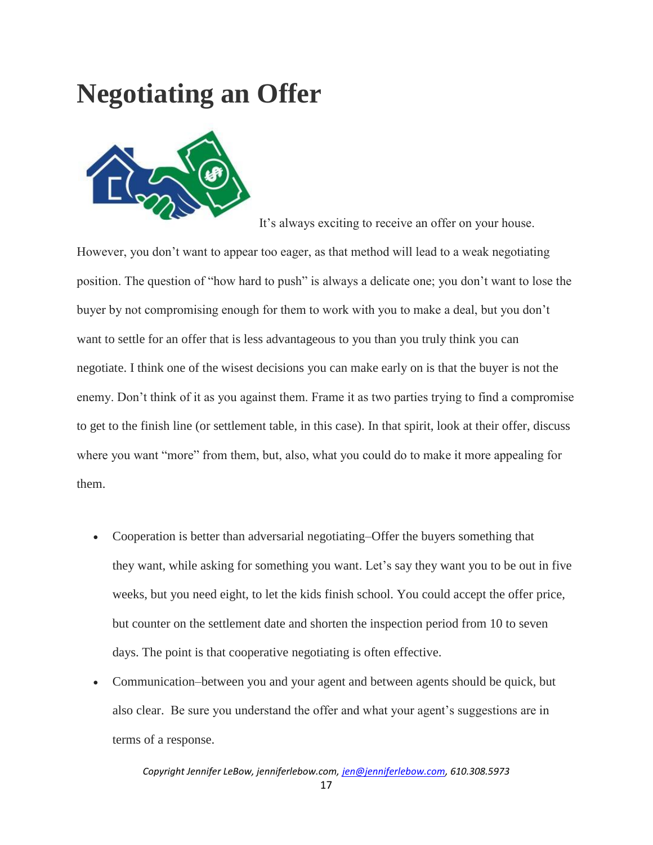### **Negotiating an Offer**



It's always exciting to receive an offer on your house.

However, you don't want to appear too eager, as that method will lead to a weak negotiating position. The question of "how hard to push" is always a delicate one; you don't want to lose the buyer by not compromising enough for them to work with you to make a deal, but you don't want to settle for an offer that is less advantageous to you than you truly think you can negotiate. I think one of the wisest decisions you can make early on is that the buyer is not the enemy. Don't think of it as you against them. Frame it as two parties trying to find a compromise to get to the finish line (or settlement table, in this case). In that spirit, look at their offer, discuss where you want "more" from them, but, also, what you could do to make it more appealing for them.

- Cooperation is better than adversarial negotiating–Offer the buyers something that they want, while asking for something you want. Let's say they want you to be out in five weeks, but you need eight, to let the kids finish school. You could accept the offer price, but counter on the settlement date and shorten the inspection period from 10 to seven days. The point is that cooperative negotiating is often effective.
- Communication–between you and your agent and between agents should be quick, but also clear. Be sure you understand the offer and what your agent's suggestions are in terms of a response.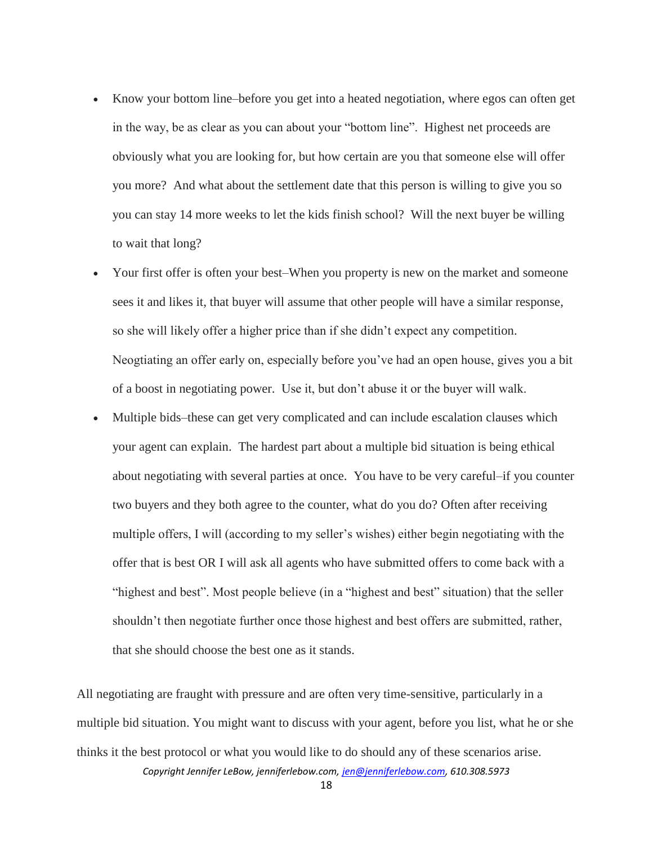- Know your bottom line–before you get into a heated negotiation, where egos can often get in the way, be as clear as you can about your "bottom line". Highest net proceeds are obviously what you are looking for, but how certain are you that someone else will offer you more? And what about the settlement date that this person is willing to give you so you can stay 14 more weeks to let the kids finish school? Will the next buyer be willing to wait that long?
- Your first offer is often your best–When you property is new on the market and someone sees it and likes it, that buyer will assume that other people will have a similar response, so she will likely offer a higher price than if she didn't expect any competition. Neogtiating an offer early on, especially before you've had an open house, gives you a bit of a boost in negotiating power. Use it, but don't abuse it or the buyer will walk.
- Multiple bids–these can get very complicated and can include escalation clauses which your agent can explain. The hardest part about a multiple bid situation is being ethical about negotiating with several parties at once. You have to be very careful–if you counter two buyers and they both agree to the counter, what do you do? Often after receiving multiple offers, I will (according to my seller's wishes) either begin negotiating with the offer that is best OR I will ask all agents who have submitted offers to come back with a "highest and best". Most people believe (in a "highest and best" situation) that the seller shouldn't then negotiate further once those highest and best offers are submitted, rather, that she should choose the best one as it stands.

*Copyright Jennifer LeBow, jenniferlebow.com, jen@jenniferlebow.com, 610.308.5973* All negotiating are fraught with pressure and are often very time-sensitive, particularly in a multiple bid situation. You might want to discuss with your agent, before you list, what he or she thinks it the best protocol or what you would like to do should any of these scenarios arise.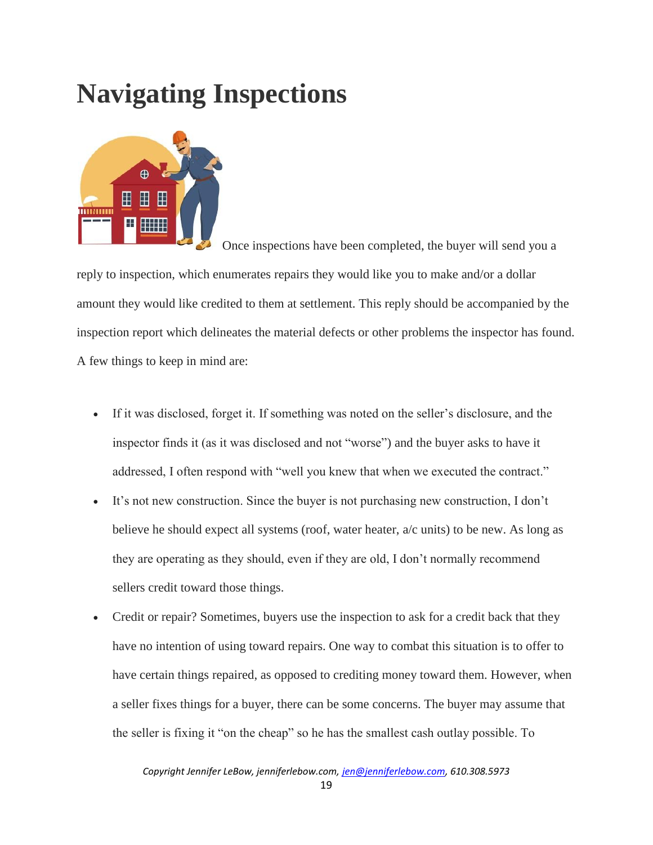## **Navigating Inspections**



Once inspections have been completed, the buyer will send you a reply to inspection, which enumerates repairs they would like you to make and/or a dollar amount they would like credited to them at settlement. This reply should be accompanied by the inspection report which delineates the material defects or other problems the inspector has found. A few things to keep in mind are:

- If it was disclosed, forget it. If something was noted on the seller's disclosure, and the inspector finds it (as it was disclosed and not "worse") and the buyer asks to have it addressed, I often respond with "well you knew that when we executed the contract."
- It's not new construction. Since the buyer is not purchasing new construction, I don't believe he should expect all systems (roof, water heater, a/c units) to be new. As long as they are operating as they should, even if they are old, I don't normally recommend sellers credit toward those things.
- Credit or repair? Sometimes, buyers use the inspection to ask for a credit back that they have no intention of using toward repairs. One way to combat this situation is to offer to have certain things repaired, as opposed to crediting money toward them. However, when a seller fixes things for a buyer, there can be some concerns. The buyer may assume that the seller is fixing it "on the cheap" so he has the smallest cash outlay possible. To

*Copyright Jennifer LeBow, jenniferlebow.com, jen@jenniferlebow.com, 610.308.5973*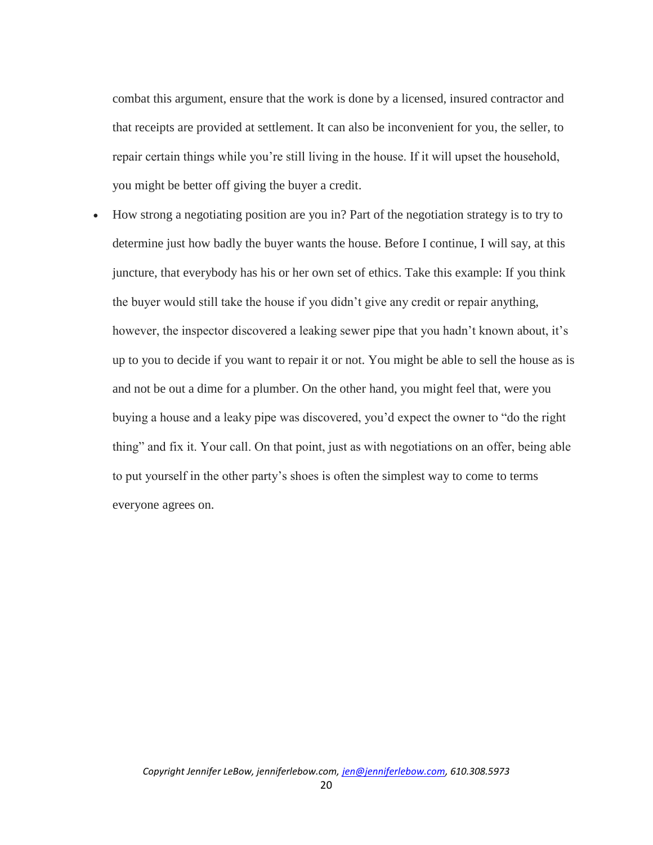combat this argument, ensure that the work is done by a licensed, insured contractor and that receipts are provided at settlement. It can also be inconvenient for you, the seller, to repair certain things while you're still living in the house. If it will upset the household, you might be better off giving the buyer a credit.

 How strong a negotiating position are you in? Part of the negotiation strategy is to try to determine just how badly the buyer wants the house. Before I continue, I will say, at this juncture, that everybody has his or her own set of ethics. Take this example: If you think the buyer would still take the house if you didn't give any credit or repair anything, however, the inspector discovered a leaking sewer pipe that you hadn't known about, it's up to you to decide if you want to repair it or not. You might be able to sell the house as is and not be out a dime for a plumber. On the other hand, you might feel that, were you buying a house and a leaky pipe was discovered, you'd expect the owner to "do the right thing" and fix it. Your call. On that point, just as with negotiations on an offer, being able to put yourself in the other party's shoes is often the simplest way to come to terms everyone agrees on.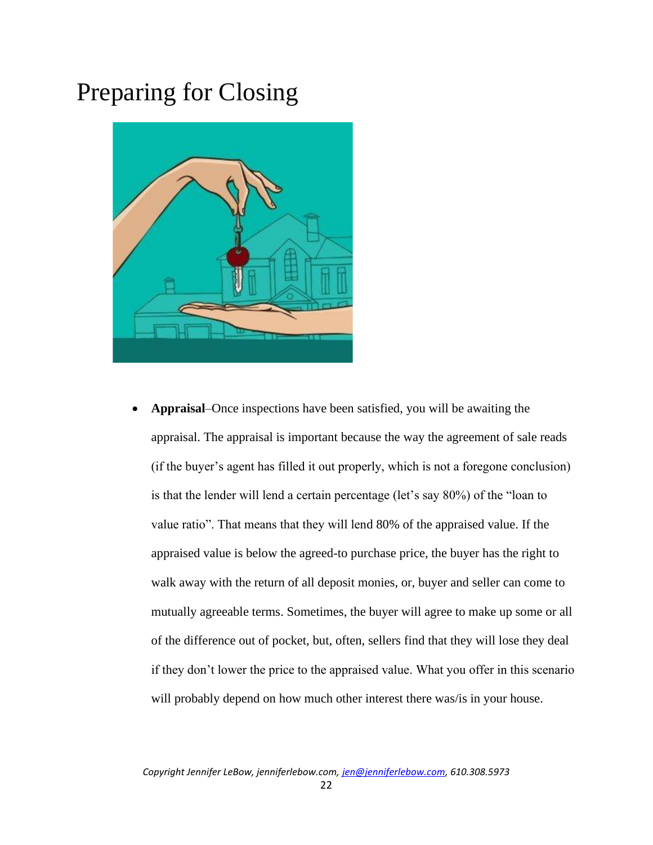#### Preparing for Closing



• **Appraisal**–Once inspections have been satisfied, you will be awaiting the appraisal. The appraisal is important because the way the agreement of sale reads (if the buyer's agent has filled it out properly, which is not a foregone conclusion) is that the lender will lend a certain percentage (let's say 80%) of the "loan to value ratio". That means that they will lend 80% of the appraised value. If the appraised value is below the agreed-to purchase price, the buyer has the right to walk away with the return of all deposit monies, or, buyer and seller can come to mutually agreeable terms. Sometimes, the buyer will agree to make up some or all of the difference out of pocket, but, often, sellers find that they will lose they deal if they don't lower the price to the appraised value. What you offer in this scenario will probably depend on how much other interest there was/is in your house.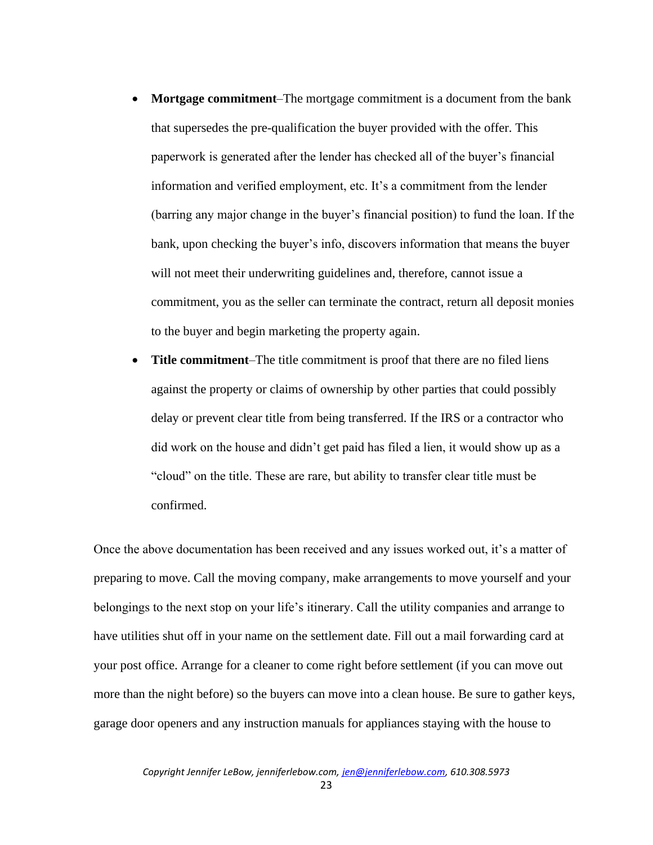- **Mortgage commitment**–The mortgage commitment is a document from the bank that supersedes the pre-qualification the buyer provided with the offer. This paperwork is generated after the lender has checked all of the buyer's financial information and verified employment, etc. It's a commitment from the lender (barring any major change in the buyer's financial position) to fund the loan. If the bank, upon checking the buyer's info, discovers information that means the buyer will not meet their underwriting guidelines and, therefore, cannot issue a commitment, you as the seller can terminate the contract, return all deposit monies to the buyer and begin marketing the property again.
- **Title commitment**–The title commitment is proof that there are no filed liens against the property or claims of ownership by other parties that could possibly delay or prevent clear title from being transferred. If the IRS or a contractor who did work on the house and didn't get paid has filed a lien, it would show up as a "cloud" on the title. These are rare, but ability to transfer clear title must be confirmed.

Once the above documentation has been received and any issues worked out, it's a matter of preparing to move. Call the moving company, make arrangements to move yourself and your belongings to the next stop on your life's itinerary. Call the utility companies and arrange to have utilities shut off in your name on the settlement date. Fill out a mail forwarding card at your post office. Arrange for a cleaner to come right before settlement (if you can move out more than the night before) so the buyers can move into a clean house. Be sure to gather keys, garage door openers and any instruction manuals for appliances staying with the house to

23